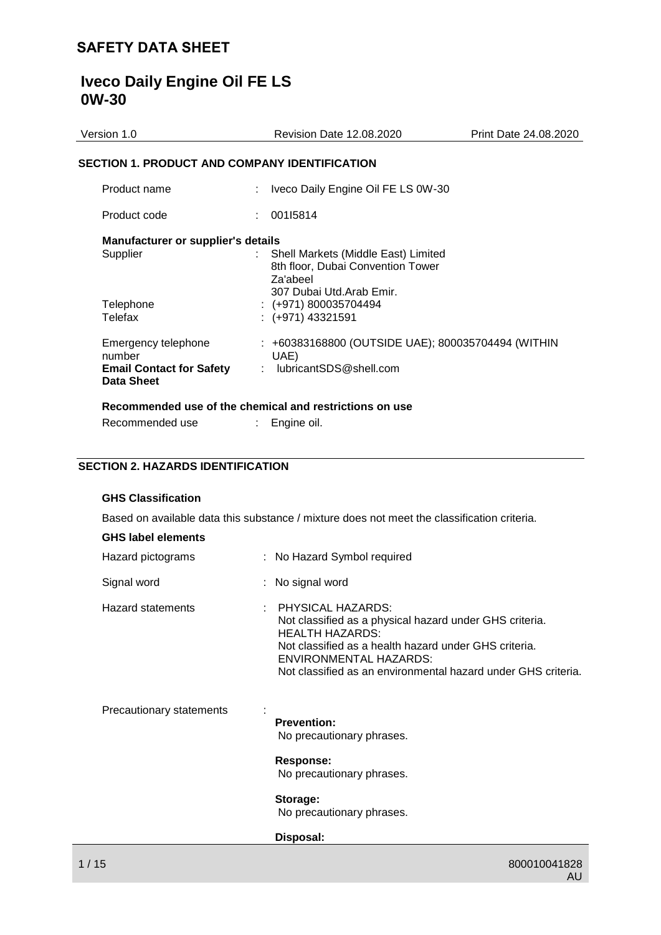# **Iveco Daily Engine Oil FE LS 0W-30**

| Version 1.0                                                                           | <b>Revision Date 12.08.2020</b>                                                            | Print Date 24.08.2020 |
|---------------------------------------------------------------------------------------|--------------------------------------------------------------------------------------------|-----------------------|
| <b>SECTION 1. PRODUCT AND COMPANY IDENTIFICATION</b>                                  |                                                                                            |                       |
| Product name                                                                          | Iveco Daily Engine Oil FE LS 0W-30                                                         |                       |
| Product code                                                                          | : 00115814                                                                                 |                       |
| Manufacturer or supplier's details<br>Supplier                                        | Shell Markets (Middle East) Limited<br>t.<br>8th floor, Dubai Convention Tower<br>Za'abeel |                       |
| Telephone<br>Telefax                                                                  | 307 Dubai Utd.Arab Emir.<br>$\div$ (+971) 800035704494<br>$: (+971)$ 43321591              |                       |
| Emergency telephone<br>number<br><b>Email Contact for Safety</b><br><b>Data Sheet</b> | : +60383168800 (OUTSIDE UAE); 800035704494 (WITHIN<br>UAE)<br>: $lubricantSDS@shell.com$   |                       |
|                                                                                       | Recommended use of the chemical and restrictions on use                                    |                       |
| Recommended use                                                                       | Engine oil.                                                                                |                       |

## **SECTION 2. HAZARDS IDENTIFICATION**

## **GHS Classification**

|                           | Based on available data this substance / mixture does not meet the classification criteria.                                                                                                                                                                  |
|---------------------------|--------------------------------------------------------------------------------------------------------------------------------------------------------------------------------------------------------------------------------------------------------------|
| <b>GHS label elements</b> |                                                                                                                                                                                                                                                              |
| Hazard pictograms         | : No Hazard Symbol required                                                                                                                                                                                                                                  |
| Signal word               | : No signal word                                                                                                                                                                                                                                             |
| <b>Hazard statements</b>  | : PHYSICAL HAZARDS:<br>Not classified as a physical hazard under GHS criteria.<br><b>HEALTH HAZARDS:</b><br>Not classified as a health hazard under GHS criteria.<br>ENVIRONMENTAL HAZARDS:<br>Not classified as an environmental hazard under GHS criteria. |
| Precautionary statements  | <b>Prevention:</b><br>No precautionary phrases.                                                                                                                                                                                                              |
|                           | Response:<br>No precautionary phrases.                                                                                                                                                                                                                       |

**Storage:**  No precautionary phrases.

**Disposal:**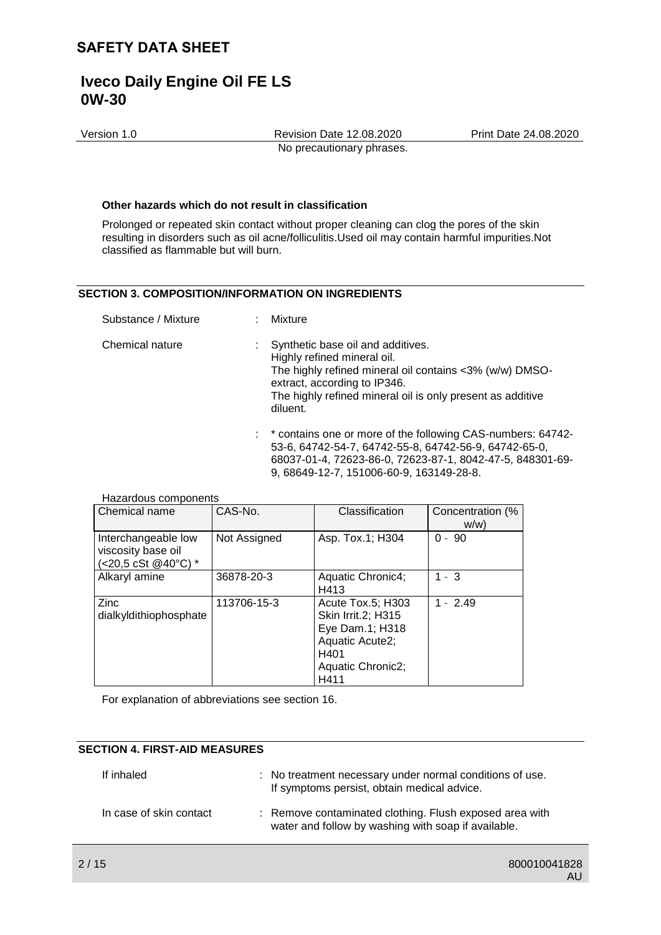Version 1.0 Revision Date 12.08.2020 Print Date 24.08.2020 No precautionary phrases.

#### **Other hazards which do not result in classification**

Prolonged or repeated skin contact without proper cleaning can clog the pores of the skin resulting in disorders such as oil acne/folliculitis.Used oil may contain harmful impurities.Not classified as flammable but will burn.

#### **SECTION 3. COMPOSITION/INFORMATION ON INGREDIENTS**

| Substance / Mixture | Mixture                                                                                                                                                                                                                               |
|---------------------|---------------------------------------------------------------------------------------------------------------------------------------------------------------------------------------------------------------------------------------|
| Chemical nature     | Synthetic base oil and additives.<br>Highly refined mineral oil.<br>The highly refined mineral oil contains <3% (w/w) DMSO-<br>extract, according to IP346.<br>The highly refined mineral oil is only present as additive<br>diluent. |
|                     | : * contains one or more of the following CAS-numbers: 64742-                                                                                                                                                                         |

53-6, 64742-54-7, 64742-55-8, 64742-56-9, 64742-65-0, 68037-01-4, 72623-86-0, 72623-87-1, 8042-47-5, 848301-69- 9, 68649-12-7, 151006-60-9, 163149-28-8.

| i idzardous components                                                                    |              |                                                                                                                           |                         |
|-------------------------------------------------------------------------------------------|--------------|---------------------------------------------------------------------------------------------------------------------------|-------------------------|
| Chemical name                                                                             | CAS-No.      | Classification                                                                                                            | Concentration (%<br>w/w |
| Interchangeable low<br>viscosity base oil<br>$(<20.5 \text{ cSt } @40^{\circ}\text{C})$ * | Not Assigned | Asp. Tox.1; H304                                                                                                          | $-90$<br>0              |
| Alkaryl amine                                                                             | 36878-20-3   | Aquatic Chronic4;<br>H413                                                                                                 | - 3                     |
| Zinc<br>dialkyldithiophosphate                                                            | 113706-15-3  | Acute Tox.5; H303<br><b>Skin Irrit.2; H315</b><br>Eye Dam.1; H318<br>Aquatic Acute2;<br>H401<br>Aquatic Chronic2;<br>H411 | $1 - 2.49$              |

For explanation of abbreviations see section 16.

## **SECTION 4. FIRST-AID MEASURES**

Hazardous components

| If inhaled              | : No treatment necessary under normal conditions of use.<br>If symptoms persist, obtain medical advice.        |
|-------------------------|----------------------------------------------------------------------------------------------------------------|
| In case of skin contact | : Remove contaminated clothing. Flush exposed area with<br>water and follow by washing with soap if available. |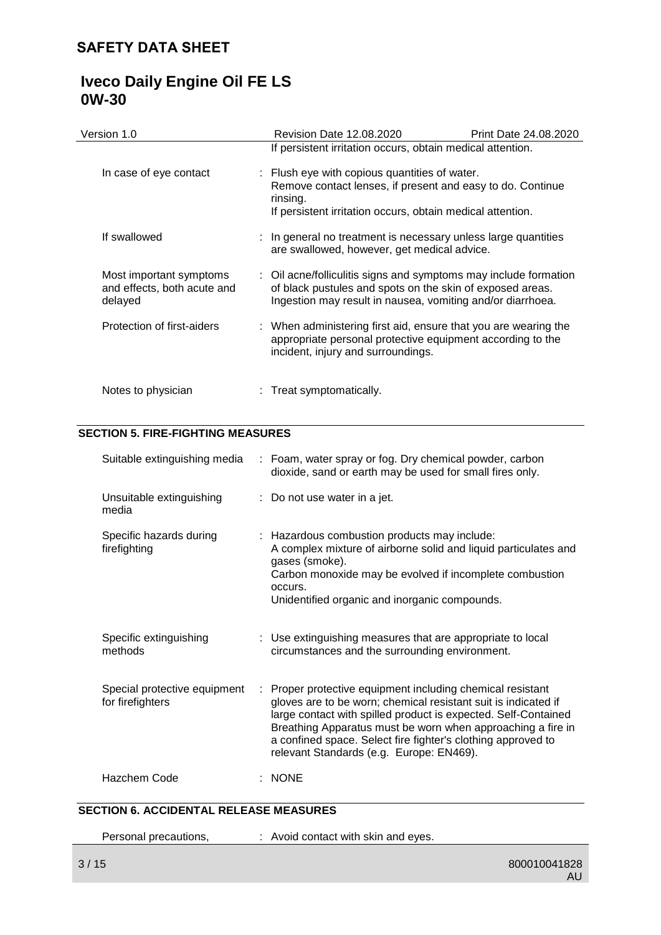# **Iveco Daily Engine Oil FE LS 0W-30**

| Version 1.0                                                       | <b>Revision Date 12.08.2020</b>                                                                                                                                                             | Print Date 24.08.2020                                                                                                                                                     |  |  |
|-------------------------------------------------------------------|---------------------------------------------------------------------------------------------------------------------------------------------------------------------------------------------|---------------------------------------------------------------------------------------------------------------------------------------------------------------------------|--|--|
|                                                                   | If persistent irritation occurs, obtain medical attention.                                                                                                                                  |                                                                                                                                                                           |  |  |
| In case of eye contact                                            | rinsing.                                                                                                                                                                                    | : Flush eye with copious quantities of water.<br>Remove contact lenses, if present and easy to do. Continue<br>If persistent irritation occurs, obtain medical attention. |  |  |
| If swallowed                                                      | : In general no treatment is necessary unless large quantities<br>are swallowed, however, get medical advice.                                                                               |                                                                                                                                                                           |  |  |
| Most important symptoms<br>and effects, both acute and<br>delayed | : Oil acne/folliculitis signs and symptoms may include formation<br>of black pustules and spots on the skin of exposed areas.<br>Ingestion may result in nausea, vomiting and/or diarrhoea. |                                                                                                                                                                           |  |  |
| Protection of first-aiders                                        | : When administering first aid, ensure that you are wearing the<br>appropriate personal protective equipment according to the<br>incident, injury and surroundings.                         |                                                                                                                                                                           |  |  |
| Notes to physician                                                | : Treat symptomatically.                                                                                                                                                                    |                                                                                                                                                                           |  |  |

## **SECTION 5. FIRE-FIGHTING MEASURES**

| Suitable extinguishing media                     |   | : Foam, water spray or fog. Dry chemical powder, carbon<br>dioxide, sand or earth may be used for small fires only.                                                                                                                                                                                                                                                     |
|--------------------------------------------------|---|-------------------------------------------------------------------------------------------------------------------------------------------------------------------------------------------------------------------------------------------------------------------------------------------------------------------------------------------------------------------------|
| Unsuitable extinguishing<br>media                |   | : Do not use water in a jet.                                                                                                                                                                                                                                                                                                                                            |
| Specific hazards during<br>firefighting          |   | : Hazardous combustion products may include:<br>A complex mixture of airborne solid and liquid particulates and<br>gases (smoke).<br>Carbon monoxide may be evolved if incomplete combustion<br>occurs.<br>Unidentified organic and inorganic compounds.                                                                                                                |
| Specific extinguishing<br>methods                |   | : Use extinguishing measures that are appropriate to local<br>circumstances and the surrounding environment.                                                                                                                                                                                                                                                            |
| Special protective equipment<br>for firefighters | ÷ | Proper protective equipment including chemical resistant<br>gloves are to be worn; chemical resistant suit is indicated if<br>large contact with spilled product is expected. Self-Contained<br>Breathing Apparatus must be worn when approaching a fire in<br>a confined space. Select fire fighter's clothing approved to<br>relevant Standards (e.g. Europe: EN469). |
| Hazchem Code                                     |   | $:$ NONE                                                                                                                                                                                                                                                                                                                                                                |

## **SECTION 6. ACCIDENTAL RELEASE MEASURES**

| Personal precautions, | : Avoid contact with skin and eyes. |
|-----------------------|-------------------------------------|
|                       |                                     |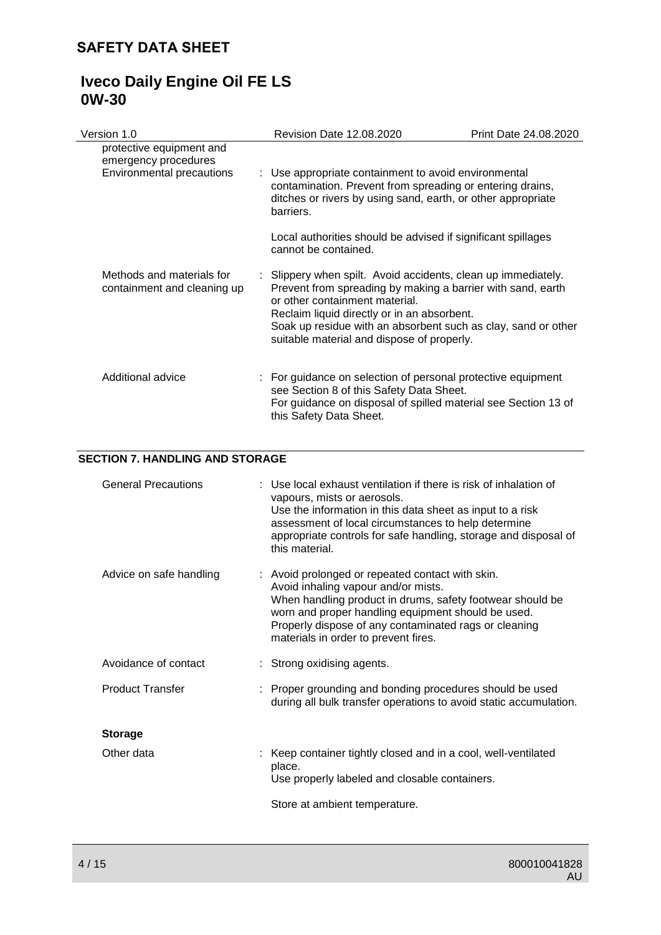# **Iveco Daily Engine Oil FE LS 0W-30**

| Version 1.0                                                                          | <b>Revision Date 12.08.2020</b>                                                                                                                                                                                                                                                                                              | Print Date 24.08.2020 |
|--------------------------------------------------------------------------------------|------------------------------------------------------------------------------------------------------------------------------------------------------------------------------------------------------------------------------------------------------------------------------------------------------------------------------|-----------------------|
| protective equipment and<br>emergency procedures<br><b>Environmental precautions</b> | : Use appropriate containment to avoid environmental<br>contamination. Prevent from spreading or entering drains,<br>ditches or rivers by using sand, earth, or other appropriate<br>barriers.                                                                                                                               |                       |
|                                                                                      | Local authorities should be advised if significant spillages<br>cannot be contained.                                                                                                                                                                                                                                         |                       |
| Methods and materials for<br>containment and cleaning up                             | : Slippery when spilt. Avoid accidents, clean up immediately.<br>Prevent from spreading by making a barrier with sand, earth<br>or other containment material.<br>Reclaim liquid directly or in an absorbent.<br>Soak up residue with an absorbent such as clay, sand or other<br>suitable material and dispose of properly. |                       |
| Additional advice                                                                    | : For guidance on selection of personal protective equipment<br>see Section 8 of this Safety Data Sheet.<br>For guidance on disposal of spilled material see Section 13 of<br>this Safety Data Sheet.                                                                                                                        |                       |

### **SECTION 7. HANDLING AND STORAGE**

| <b>General Precautions</b> | : Use local exhaust ventilation if there is risk of inhalation of<br>vapours, mists or aerosols.<br>Use the information in this data sheet as input to a risk<br>assessment of local circumstances to help determine<br>appropriate controls for safe handling, storage and disposal of<br>this material.   |
|----------------------------|-------------------------------------------------------------------------------------------------------------------------------------------------------------------------------------------------------------------------------------------------------------------------------------------------------------|
| Advice on safe handling    | : Avoid prolonged or repeated contact with skin.<br>Avoid inhaling vapour and/or mists.<br>When handling product in drums, safety footwear should be<br>worn and proper handling equipment should be used.<br>Properly dispose of any contaminated rags or cleaning<br>materials in order to prevent fires. |
| Avoidance of contact       | : Strong oxidising agents.                                                                                                                                                                                                                                                                                  |
| <b>Product Transfer</b>    | : Proper grounding and bonding procedures should be used<br>during all bulk transfer operations to avoid static accumulation.                                                                                                                                                                               |
| <b>Storage</b>             |                                                                                                                                                                                                                                                                                                             |
| Other data                 | : Keep container tightly closed and in a cool, well-ventilated<br>place.<br>Use properly labeled and closable containers.<br>Store at ambient temperature.                                                                                                                                                  |
|                            |                                                                                                                                                                                                                                                                                                             |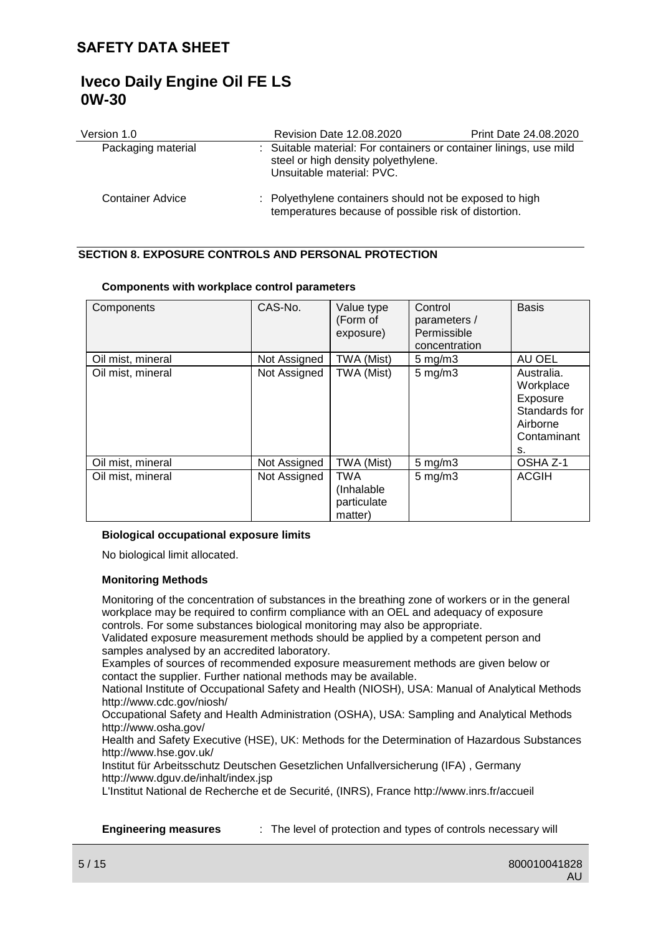| Version 1.0             | Revision Date 12.08.2020                                                                                        | Print Date 24.08.2020                                              |  |  |
|-------------------------|-----------------------------------------------------------------------------------------------------------------|--------------------------------------------------------------------|--|--|
| Packaging material      | steel or high density polyethylene.<br>Unsuitable material: PVC.                                                | : Suitable material: For containers or container linings, use mild |  |  |
| <b>Container Advice</b> | : Polyethylene containers should not be exposed to high<br>temperatures because of possible risk of distortion. |                                                                    |  |  |

## **SECTION 8. EXPOSURE CONTROLS AND PERSONAL PROTECTION**

| Components        | CAS-No.      | Value type<br>(Form of<br>exposure)                | Control<br>parameters /<br>Permissible<br>concentration | <b>Basis</b>                                                                          |
|-------------------|--------------|----------------------------------------------------|---------------------------------------------------------|---------------------------------------------------------------------------------------|
| Oil mist, mineral | Not Assigned | TWA (Mist)                                         | $5 \text{ mg/m}$                                        | AU OEL                                                                                |
| Oil mist, mineral | Not Assigned | TWA (Mist)                                         | $5$ mg/m $3$                                            | Australia.<br>Workplace<br>Exposure<br>Standards for<br>Airborne<br>Contaminant<br>s. |
| Oil mist, mineral | Not Assigned | TWA (Mist)                                         | $5$ mg/m $3$                                            | OSHA Z-1                                                                              |
| Oil mist, mineral | Not Assigned | <b>TWA</b><br>(Inhalable<br>particulate<br>matter) | $5$ mg/m $3$                                            | <b>ACGIH</b>                                                                          |

#### **Components with workplace control parameters**

#### **Biological occupational exposure limits**

No biological limit allocated.

#### **Monitoring Methods**

Monitoring of the concentration of substances in the breathing zone of workers or in the general workplace may be required to confirm compliance with an OEL and adequacy of exposure controls. For some substances biological monitoring may also be appropriate.

Validated exposure measurement methods should be applied by a competent person and samples analysed by an accredited laboratory.

Examples of sources of recommended exposure measurement methods are given below or contact the supplier. Further national methods may be available.

National Institute of Occupational Safety and Health (NIOSH), USA: Manual of Analytical Methods http://www.cdc.gov/niosh/

Occupational Safety and Health Administration (OSHA), USA: Sampling and Analytical Methods http://www.osha.gov/

Health and Safety Executive (HSE), UK: Methods for the Determination of Hazardous Substances http://www.hse.gov.uk/

Institut für Arbeitsschutz Deutschen Gesetzlichen Unfallversicherung (IFA) , Germany http://www.dguv.de/inhalt/index.jsp

L'Institut National de Recherche et de Securité, (INRS), France http://www.inrs.fr/accueil

**Engineering measures** : The level of protection and types of controls necessary will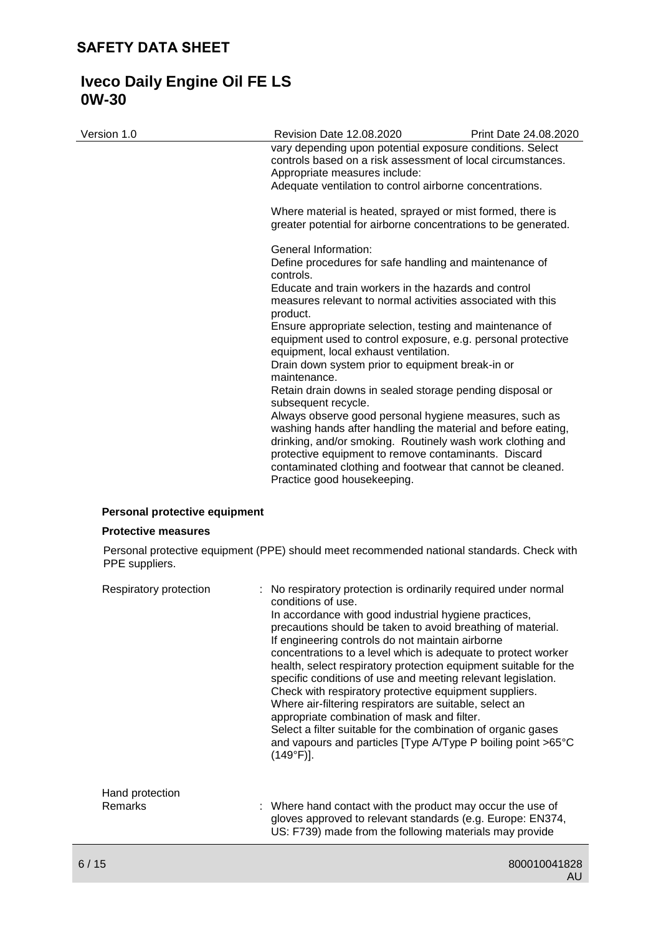| Version 1.0                   | Revision Date 12.08.2020                                                                                                                                                                                                                                                                                                                  | Print Date 24.08.2020 |
|-------------------------------|-------------------------------------------------------------------------------------------------------------------------------------------------------------------------------------------------------------------------------------------------------------------------------------------------------------------------------------------|-----------------------|
|                               | vary depending upon potential exposure conditions. Select<br>controls based on a risk assessment of local circumstances.<br>Appropriate measures include:                                                                                                                                                                                 |                       |
|                               | Adequate ventilation to control airborne concentrations.                                                                                                                                                                                                                                                                                  |                       |
|                               | Where material is heated, sprayed or mist formed, there is<br>greater potential for airborne concentrations to be generated.                                                                                                                                                                                                              |                       |
|                               | General Information:<br>Define procedures for safe handling and maintenance of<br>controls.                                                                                                                                                                                                                                               |                       |
|                               | Educate and train workers in the hazards and control<br>measures relevant to normal activities associated with this<br>product.                                                                                                                                                                                                           |                       |
|                               | Ensure appropriate selection, testing and maintenance of<br>equipment used to control exposure, e.g. personal protective<br>equipment, local exhaust ventilation.                                                                                                                                                                         |                       |
|                               | Drain down system prior to equipment break-in or<br>maintenance.                                                                                                                                                                                                                                                                          |                       |
|                               | Retain drain downs in sealed storage pending disposal or<br>subsequent recycle.                                                                                                                                                                                                                                                           |                       |
|                               | Always observe good personal hygiene measures, such as<br>washing hands after handling the material and before eating,<br>drinking, and/or smoking. Routinely wash work clothing and<br>protective equipment to remove contaminants. Discard<br>contaminated clothing and footwear that cannot be cleaned.<br>Practice good housekeeping. |                       |
| Personal protective equipment |                                                                                                                                                                                                                                                                                                                                           |                       |
| <b>Protective measures</b>    |                                                                                                                                                                                                                                                                                                                                           |                       |
|                               | Personal protective equipment (PPE) should meet recommended national standards. Check with                                                                                                                                                                                                                                                |                       |
| PPE suppliers.                |                                                                                                                                                                                                                                                                                                                                           |                       |

| Respiratory protection     | : No respiratory protection is ordinarily required under normal<br>conditions of use.<br>In accordance with good industrial hygiene practices,<br>precautions should be taken to avoid breathing of material.<br>If engineering controls do not maintain airborne<br>concentrations to a level which is adequate to protect worker<br>health, select respiratory protection equipment suitable for the<br>specific conditions of use and meeting relevant legislation.<br>Check with respiratory protective equipment suppliers.<br>Where air-filtering respirators are suitable, select an<br>appropriate combination of mask and filter.<br>Select a filter suitable for the combination of organic gases<br>and vapours and particles [Type A/Type P boiling point >65°C<br>$(149°F)$ ]. |
|----------------------------|---------------------------------------------------------------------------------------------------------------------------------------------------------------------------------------------------------------------------------------------------------------------------------------------------------------------------------------------------------------------------------------------------------------------------------------------------------------------------------------------------------------------------------------------------------------------------------------------------------------------------------------------------------------------------------------------------------------------------------------------------------------------------------------------|
| Hand protection<br>Remarks | : Where hand contact with the product may occur the use of<br>gloves approved to relevant standards (e.g. Europe: EN374,<br>US: F739) made from the following materials may provide                                                                                                                                                                                                                                                                                                                                                                                                                                                                                                                                                                                                         |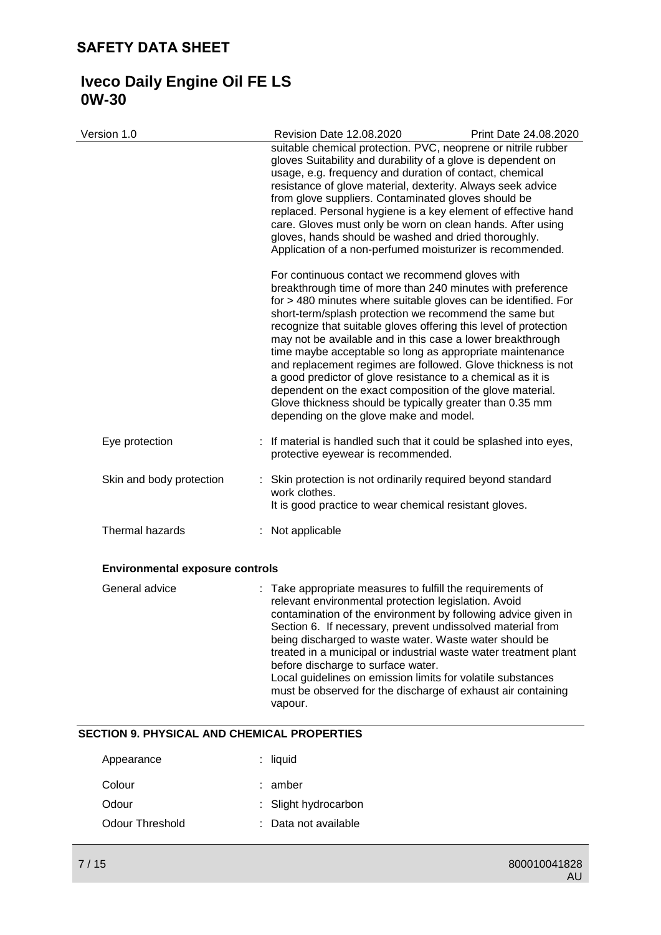# **Iveco Daily Engine Oil FE LS 0W-30**

| Version 1.0                                 | <b>Revision Date 12.08.2020</b>                                                                                                                                                                                                                                                                                                                                                                                                                                                                                                                                                                                                                                                        | Print Date 24.08.2020 |
|---------------------------------------------|----------------------------------------------------------------------------------------------------------------------------------------------------------------------------------------------------------------------------------------------------------------------------------------------------------------------------------------------------------------------------------------------------------------------------------------------------------------------------------------------------------------------------------------------------------------------------------------------------------------------------------------------------------------------------------------|-----------------------|
|                                             | suitable chemical protection. PVC, neoprene or nitrile rubber<br>gloves Suitability and durability of a glove is dependent on<br>usage, e.g. frequency and duration of contact, chemical<br>resistance of glove material, dexterity. Always seek advice<br>from glove suppliers. Contaminated gloves should be<br>replaced. Personal hygiene is a key element of effective hand<br>care. Gloves must only be worn on clean hands. After using<br>gloves, hands should be washed and dried thoroughly.<br>Application of a non-perfumed moisturizer is recommended.<br>For continuous contact we recommend gloves with                                                                  |                       |
|                                             | breakthrough time of more than 240 minutes with preference<br>for > 480 minutes where suitable gloves can be identified. For<br>short-term/splash protection we recommend the same but<br>recognize that suitable gloves offering this level of protection<br>may not be available and in this case a lower breakthrough<br>time maybe acceptable so long as appropriate maintenance<br>and replacement regimes are followed. Glove thickness is not<br>a good predictor of glove resistance to a chemical as it is<br>dependent on the exact composition of the glove material.<br>Glove thickness should be typically greater than 0.35 mm<br>depending on the glove make and model. |                       |
| Eye protection                              | : If material is handled such that it could be splashed into eyes,<br>protective eyewear is recommended.                                                                                                                                                                                                                                                                                                                                                                                                                                                                                                                                                                               |                       |
| Skin and body protection                    | Skin protection is not ordinarily required beyond standard<br>work clothes.<br>It is good practice to wear chemical resistant gloves.                                                                                                                                                                                                                                                                                                                                                                                                                                                                                                                                                  |                       |
| Thermal hazards                             | : Not applicable                                                                                                                                                                                                                                                                                                                                                                                                                                                                                                                                                                                                                                                                       |                       |
| <b>Environmental exposure controls</b>      |                                                                                                                                                                                                                                                                                                                                                                                                                                                                                                                                                                                                                                                                                        |                       |
| General advice                              | : Take appropriate measures to fulfill the requirements of<br>relevant environmental protection legislation. Avoid<br>contamination of the environment by following advice given in<br>Section 6. If necessary, prevent undissolved material from<br>being discharged to waste water. Waste water should be<br>treated in a municipal or industrial waste water treatment plant<br>before discharge to surface water.<br>Local guidelines on emission limits for volatile substances<br>must be observed for the discharge of exhaust air containing<br>vapour.                                                                                                                        |                       |
| SECTION 9. PHYSICAL AND CHEMICAL PROPERTIES |                                                                                                                                                                                                                                                                                                                                                                                                                                                                                                                                                                                                                                                                                        |                       |
| Appearance                                  | liquid                                                                                                                                                                                                                                                                                                                                                                                                                                                                                                                                                                                                                                                                                 |                       |
| Colour                                      | amber                                                                                                                                                                                                                                                                                                                                                                                                                                                                                                                                                                                                                                                                                  |                       |
| Odour                                       | Slight hydrocarbon                                                                                                                                                                                                                                                                                                                                                                                                                                                                                                                                                                                                                                                                     |                       |
| <b>Odour Threshold</b>                      | Data not available                                                                                                                                                                                                                                                                                                                                                                                                                                                                                                                                                                                                                                                                     |                       |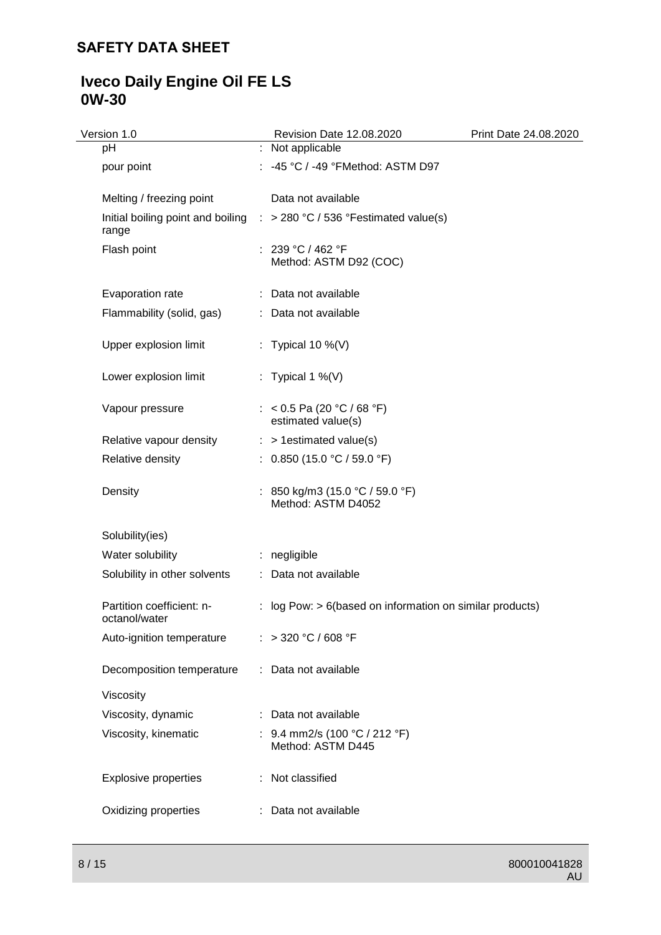# **Iveco Daily Engine Oil FE LS 0W-30**

| Version 1.0                                | Revision Date 12.08.2020                                                           | Print Date 24.08.2020 |
|--------------------------------------------|------------------------------------------------------------------------------------|-----------------------|
| pH                                         | : Not applicable                                                                   |                       |
| pour point                                 | : -45 °C / -49 °FMethod: ASTM D97                                                  |                       |
| Melting / freezing point                   | Data not available                                                                 |                       |
| range                                      | Initial boiling point and boiling $\therefore$ > 280 °C / 536 °Festimated value(s) |                       |
| Flash point                                | : 239 °C / 462 °F<br>Method: ASTM D92 (COC)                                        |                       |
| Evaporation rate                           | : Data not available                                                               |                       |
| Flammability (solid, gas)                  | : Data not available                                                               |                       |
| Upper explosion limit                      | : Typical 10 %(V)                                                                  |                       |
| Lower explosion limit                      | : Typical 1 %(V)                                                                   |                       |
| Vapour pressure                            | : < 0.5 Pa (20 °C / 68 °F)<br>estimated value(s)                                   |                       |
| Relative vapour density                    | $:$ > 1 estimated value(s)                                                         |                       |
| Relative density                           | : $0.850$ (15.0 °C / 59.0 °F)                                                      |                       |
| Density                                    | : 850 kg/m3 (15.0 °C / 59.0 °F)<br>Method: ASTM D4052                              |                       |
| Solubility(ies)                            |                                                                                    |                       |
| Water solubility                           | : negligible                                                                       |                       |
| Solubility in other solvents               | : Data not available                                                               |                       |
| Partition coefficient: n-<br>octanol/water | : log Pow: $> 6$ (based on information on similar products)                        |                       |
| Auto-ignition temperature                  | : > 320 °C / 608 °F                                                                |                       |
| Decomposition temperature                  | : Data not available                                                               |                       |
| Viscosity                                  |                                                                                    |                       |
| Viscosity, dynamic                         | : Data not available                                                               |                       |
| Viscosity, kinematic                       | : 9.4 mm2/s (100 °C / 212 °F)<br>Method: ASTM D445                                 |                       |
| <b>Explosive properties</b>                | : Not classified                                                                   |                       |
| Oxidizing properties                       | : Data not available                                                               |                       |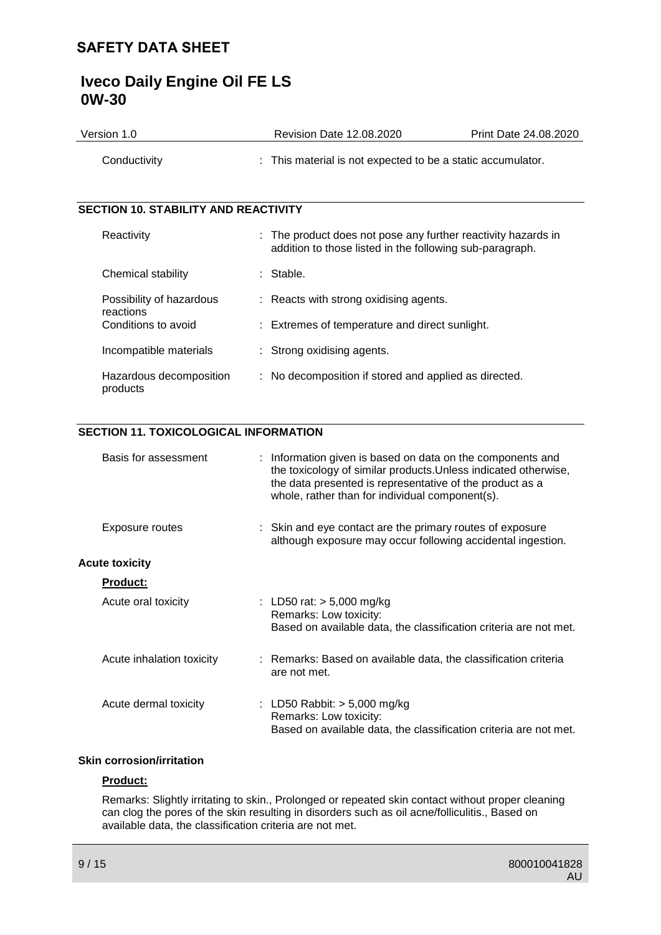# **Iveco Daily Engine Oil FE LS 0W-30**

| Version 1.0                                 | <b>Revision Date 12.08.2020</b>                                                                                           | Print Date 24.08.2020 |
|---------------------------------------------|---------------------------------------------------------------------------------------------------------------------------|-----------------------|
| Conductivity                                | : This material is not expected to be a static accumulator.                                                               |                       |
|                                             |                                                                                                                           |                       |
| <b>SECTION 10. STABILITY AND REACTIVITY</b> |                                                                                                                           |                       |
| Reactivity                                  | : The product does not pose any further reactivity hazards in<br>addition to those listed in the following sub-paragraph. |                       |
| Chemical stability                          | : Stable.                                                                                                                 |                       |
| Possibility of hazardous<br>reactions       | : Reacts with strong oxidising agents.                                                                                    |                       |
| Conditions to avoid                         | : Extremes of temperature and direct sunlight.                                                                            |                       |
| Incompatible materials                      | : Strong oxidising agents.                                                                                                |                       |
| Hazardous decomposition<br>products         | : No decomposition if stored and applied as directed.                                                                     |                       |

## **SECTION 11. TOXICOLOGICAL INFORMATION**

| Basis for assessment      | : Information given is based on data on the components and<br>the toxicology of similar products. Unless indicated otherwise,<br>the data presented is representative of the product as a<br>whole, rather than for individual component(s). |
|---------------------------|----------------------------------------------------------------------------------------------------------------------------------------------------------------------------------------------------------------------------------------------|
| Exposure routes           | : Skin and eye contact are the primary routes of exposure<br>although exposure may occur following accidental ingestion.                                                                                                                     |
| <b>Acute toxicity</b>     |                                                                                                                                                                                                                                              |
| <b>Product:</b>           |                                                                                                                                                                                                                                              |
| Acute oral toxicity       | : LD50 rat: $> 5,000$ mg/kg<br>Remarks: Low toxicity:<br>Based on available data, the classification criteria are not met.                                                                                                                   |
| Acute inhalation toxicity | : Remarks: Based on available data, the classification criteria<br>are not met.                                                                                                                                                              |
| Acute dermal toxicity     | : LD50 Rabbit: $> 5,000$ mg/kg<br>Remarks: Low toxicity:<br>Based on available data, the classification criteria are not met.                                                                                                                |

## **Skin corrosion/irritation**

#### **Product:**

Remarks: Slightly irritating to skin., Prolonged or repeated skin contact without proper cleaning can clog the pores of the skin resulting in disorders such as oil acne/folliculitis., Based on available data, the classification criteria are not met.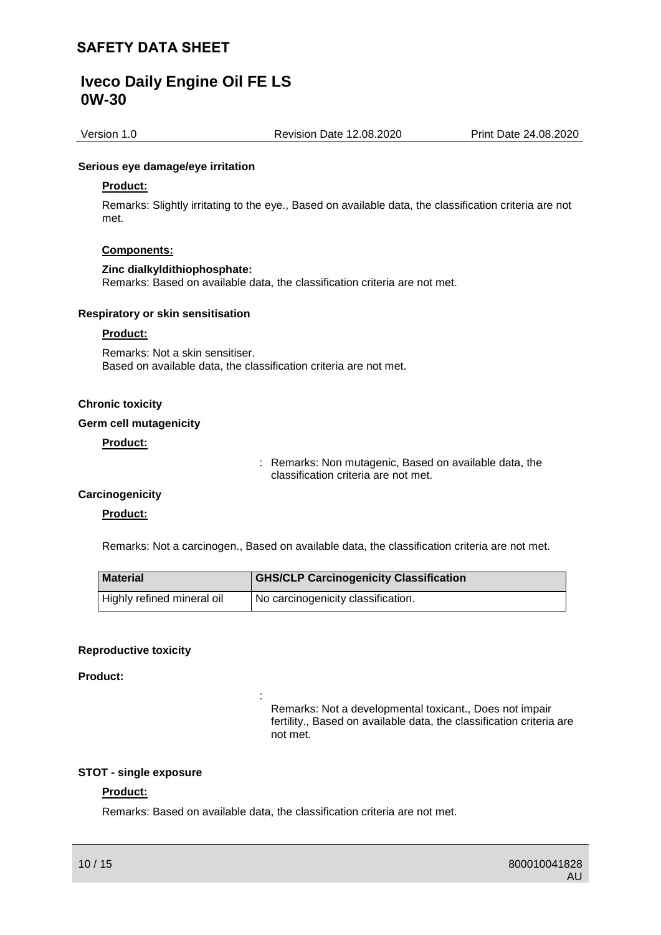Version 1.0 Revision Date 12.08.2020 Print Date 24.08.2020

#### **Serious eye damage/eye irritation**

#### **Product:**

Remarks: Slightly irritating to the eye., Based on available data, the classification criteria are not met.

#### **Components:**

#### **Zinc dialkyldithiophosphate:**

Remarks: Based on available data, the classification criteria are not met.

#### **Respiratory or skin sensitisation**

#### **Product:**

Remarks: Not a skin sensitiser. Based on available data, the classification criteria are not met.

#### **Chronic toxicity**

#### **Germ cell mutagenicity**

## **Product:**

: Remarks: Non mutagenic, Based on available data, the classification criteria are not met.

## **Carcinogenicity**

#### **Product:**

Remarks: Not a carcinogen., Based on available data, the classification criteria are not met.

| <b>Material</b>            | <b>GHS/CLP Carcinogenicity Classification</b> |
|----------------------------|-----------------------------------------------|
| Highly refined mineral oil | No carcinogenicity classification.            |

#### **Reproductive toxicity**

#### **Product:**

Remarks: Not a developmental toxicant., Does not impair fertility., Based on available data, the classification criteria are not met.

#### **STOT - single exposure**

### **Product:**

Remarks: Based on available data, the classification criteria are not met.

: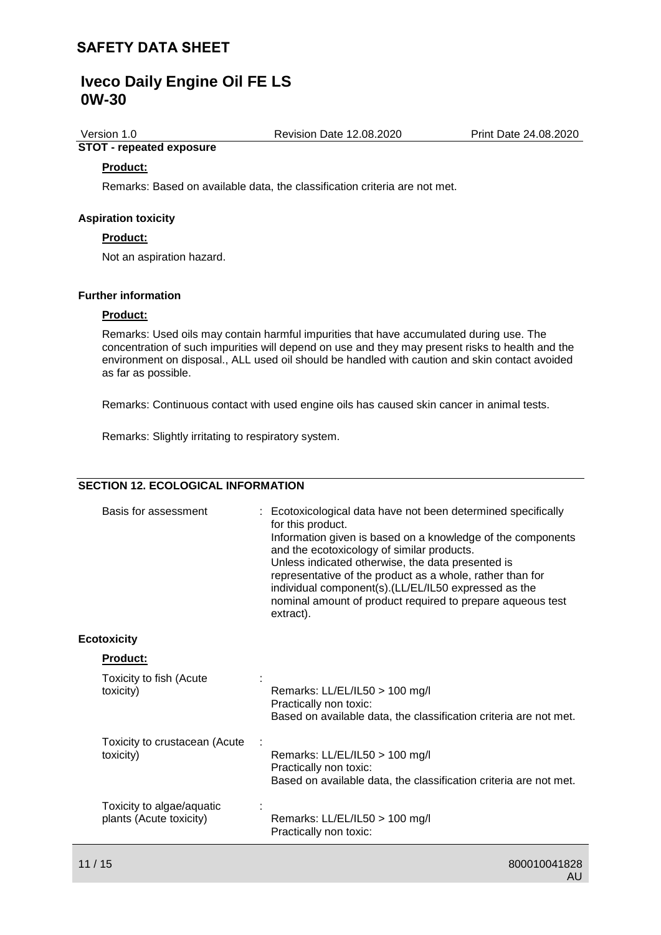**STOT - repeated exposure**

Version 1.0 Revision Date 12.08.2020 Print Date 24.08.2020

# **Product:**

Remarks: Based on available data, the classification criteria are not met.

#### **Aspiration toxicity**

#### **Product:**

Not an aspiration hazard.

#### **Further information**

#### **Product:**

Remarks: Used oils may contain harmful impurities that have accumulated during use. The concentration of such impurities will depend on use and they may present risks to health and the environment on disposal., ALL used oil should be handled with caution and skin contact avoided as far as possible.

Remarks: Continuous contact with used engine oils has caused skin cancer in animal tests.

Remarks: Slightly irritating to respiratory system.

## **SECTION 12. ECOLOGICAL INFORMATION**

| Basis for assessment                                 | : Ecotoxicological data have not been determined specifically<br>for this product.<br>Information given is based on a knowledge of the components<br>and the ecotoxicology of similar products.<br>Unless indicated otherwise, the data presented is<br>representative of the product as a whole, rather than for<br>individual component(s).(LL/EL/IL50 expressed as the<br>nominal amount of product required to prepare aqueous test<br>extract). |
|------------------------------------------------------|------------------------------------------------------------------------------------------------------------------------------------------------------------------------------------------------------------------------------------------------------------------------------------------------------------------------------------------------------------------------------------------------------------------------------------------------------|
| <b>Ecotoxicity</b>                                   |                                                                                                                                                                                                                                                                                                                                                                                                                                                      |
| Product:                                             |                                                                                                                                                                                                                                                                                                                                                                                                                                                      |
| Toxicity to fish (Acute<br>toxicity)                 | Remarks: LL/EL/IL50 > 100 mg/l<br>Practically non toxic:<br>Based on available data, the classification criteria are not met.                                                                                                                                                                                                                                                                                                                        |
| Toxicity to crustacean (Acute<br>toxicity)           | Remarks: LL/EL/IL50 > 100 mg/l<br>Practically non toxic:<br>Based on available data, the classification criteria are not met.                                                                                                                                                                                                                                                                                                                        |
| Toxicity to algae/aquatic<br>plants (Acute toxicity) | Remarks: LL/EL/IL50 > 100 mg/l<br>Practically non toxic:                                                                                                                                                                                                                                                                                                                                                                                             |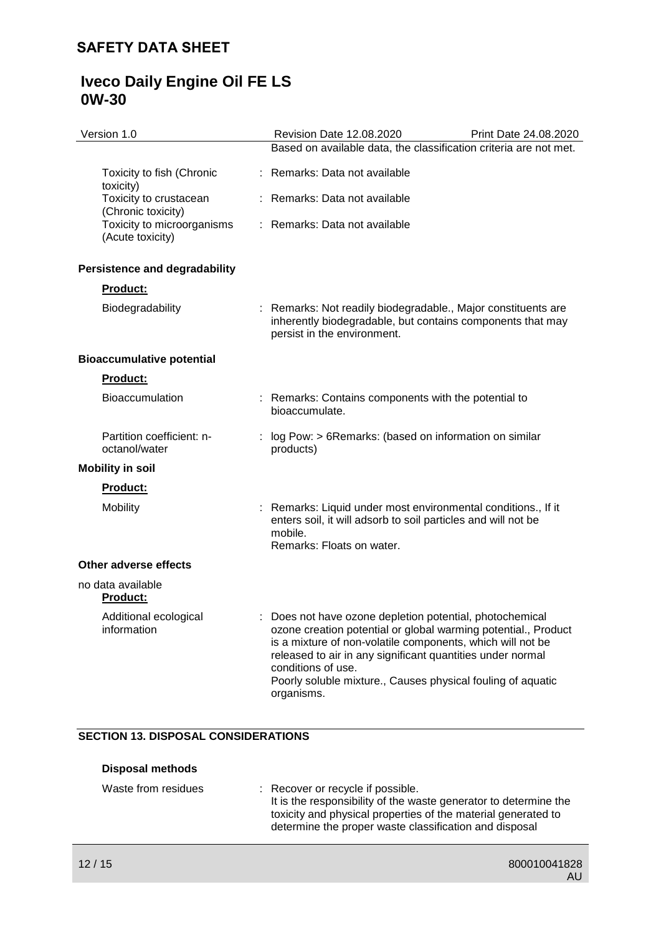| Version 1.0                                    | <b>Revision Date 12.08.2020</b>                                                                                                                                                                                                                                                                                                                         | Print Date 24.08.2020 |
|------------------------------------------------|---------------------------------------------------------------------------------------------------------------------------------------------------------------------------------------------------------------------------------------------------------------------------------------------------------------------------------------------------------|-----------------------|
|                                                | Based on available data, the classification criteria are not met.                                                                                                                                                                                                                                                                                       |                       |
| Toxicity to fish (Chronic<br>toxicity)         | Remarks: Data not available                                                                                                                                                                                                                                                                                                                             |                       |
| Toxicity to crustacean<br>(Chronic toxicity)   | : Remarks: Data not available                                                                                                                                                                                                                                                                                                                           |                       |
| Toxicity to microorganisms<br>(Acute toxicity) | : Remarks: Data not available                                                                                                                                                                                                                                                                                                                           |                       |
| <b>Persistence and degradability</b>           |                                                                                                                                                                                                                                                                                                                                                         |                       |
| <b>Product:</b>                                |                                                                                                                                                                                                                                                                                                                                                         |                       |
| Biodegradability                               | : Remarks: Not readily biodegradable., Major constituents are<br>inherently biodegradable, but contains components that may<br>persist in the environment.                                                                                                                                                                                              |                       |
| <b>Bioaccumulative potential</b>               |                                                                                                                                                                                                                                                                                                                                                         |                       |
| <b>Product:</b>                                |                                                                                                                                                                                                                                                                                                                                                         |                       |
| <b>Bioaccumulation</b>                         | : Remarks: Contains components with the potential to<br>bioaccumulate.                                                                                                                                                                                                                                                                                  |                       |
| Partition coefficient: n-<br>octanol/water     | log Pow: > 6Remarks: (based on information on similar<br>products)                                                                                                                                                                                                                                                                                      |                       |
| <b>Mobility in soil</b>                        |                                                                                                                                                                                                                                                                                                                                                         |                       |
| <b>Product:</b>                                |                                                                                                                                                                                                                                                                                                                                                         |                       |
| Mobility                                       | Remarks: Liquid under most environmental conditions., If it<br>enters soil, it will adsorb to soil particles and will not be<br>mobile.<br>Remarks: Floats on water.                                                                                                                                                                                    |                       |
| Other adverse effects                          |                                                                                                                                                                                                                                                                                                                                                         |                       |
| no data available<br><b>Product:</b>           |                                                                                                                                                                                                                                                                                                                                                         |                       |
| Additional ecological<br>information           | Does not have ozone depletion potential, photochemical<br>ozone creation potential or global warming potential., Product<br>is a mixture of non-volatile components, which will not be<br>released to air in any significant quantities under normal<br>conditions of use.<br>Poorly soluble mixture., Causes physical fouling of aquatic<br>organisms. |                       |

## **SECTION 13. DISPOSAL CONSIDERATIONS**

| Disposal methods    |                                                                                                                                                                                                                                  |
|---------------------|----------------------------------------------------------------------------------------------------------------------------------------------------------------------------------------------------------------------------------|
| Waste from residues | : Recover or recycle if possible.<br>It is the responsibility of the waste generator to determine the<br>toxicity and physical properties of the material generated to<br>determine the proper waste classification and disposal |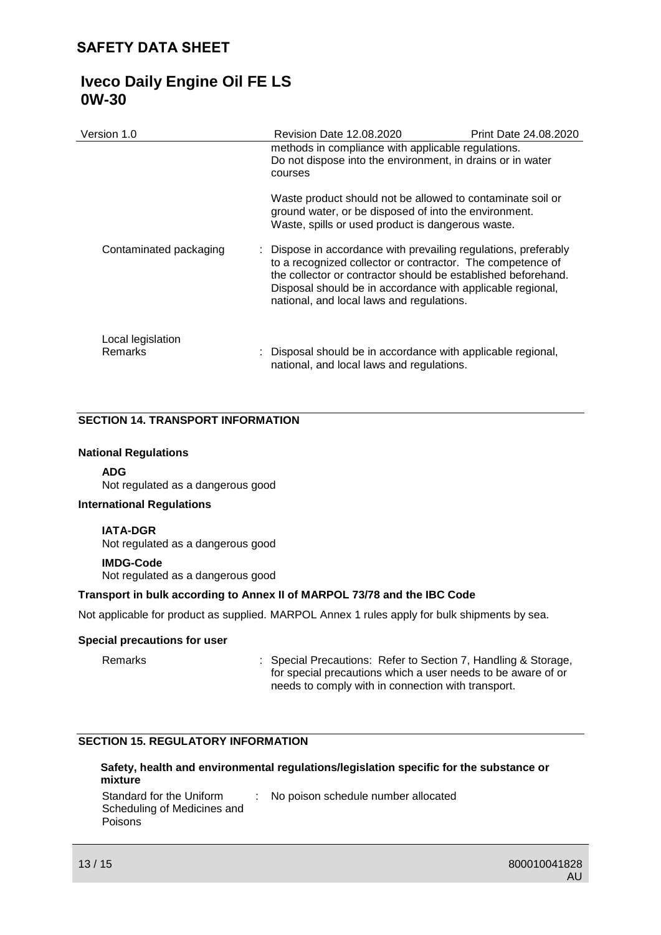| Version 1.0                  | Revision Date 12.08.2020                                                                                                                                                                                                                                                                                  | <b>Print Date 24.08.2020</b> |
|------------------------------|-----------------------------------------------------------------------------------------------------------------------------------------------------------------------------------------------------------------------------------------------------------------------------------------------------------|------------------------------|
|                              | methods in compliance with applicable regulations.<br>Do not dispose into the environment, in drains or in water<br>courses                                                                                                                                                                               |                              |
|                              | Waste product should not be allowed to contaminate soil or<br>ground water, or be disposed of into the environment.<br>Waste, spills or used product is dangerous waste.                                                                                                                                  |                              |
| Contaminated packaging       | : Dispose in accordance with prevailing regulations, preferably<br>to a recognized collector or contractor. The competence of<br>the collector or contractor should be established beforehand.<br>Disposal should be in accordance with applicable regional,<br>national, and local laws and regulations. |                              |
| Local legislation<br>Remarks | : Disposal should be in accordance with applicable regional,<br>national, and local laws and regulations.                                                                                                                                                                                                 |                              |

### **SECTION 14. TRANSPORT INFORMATION**

#### **National Regulations**

#### **ADG**

Not regulated as a dangerous good

#### **International Regulations**

#### **IATA-DGR**

Not regulated as a dangerous good

## **IMDG-Code**

Not regulated as a dangerous good

#### **Transport in bulk according to Annex II of MARPOL 73/78 and the IBC Code**

Not applicable for product as supplied. MARPOL Annex 1 rules apply for bulk shipments by sea.

#### **Special precautions for user**

Remarks : Special Precautions: Refer to Section 7, Handling & Storage, for special precautions which a user needs to be aware of or needs to comply with in connection with transport.

## **SECTION 15. REGULATORY INFORMATION**

### **Safety, health and environmental regulations/legislation specific for the substance or mixture**

Standard for the Uniform Scheduling of Medicines and Poisons : No poison schedule number allocated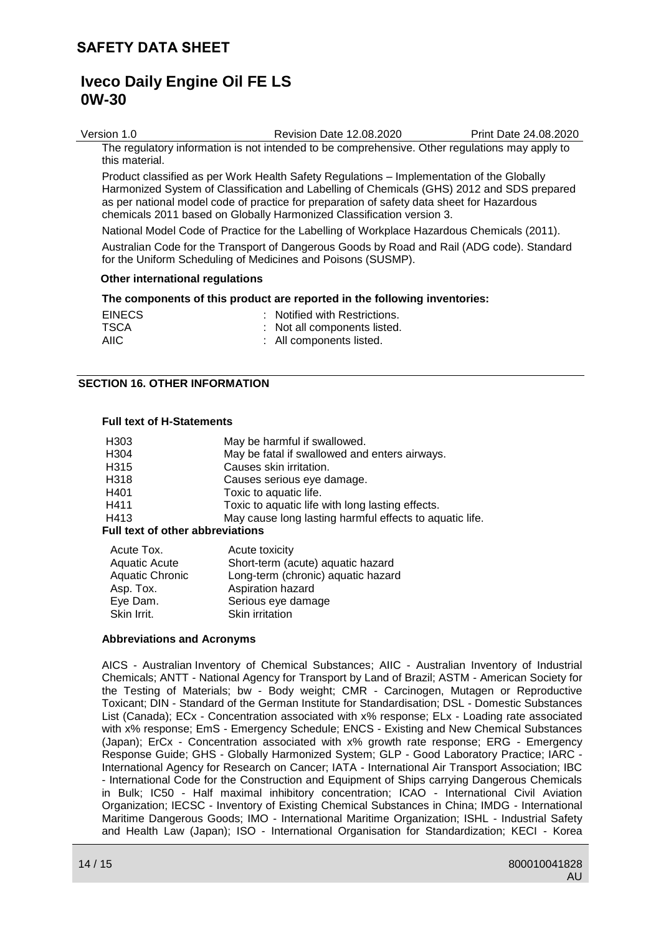# **Iveco Daily Engine Oil FE LS 0W-30**

Version 1.0 Revision Date 12.08.2020 Print Date 24.08.2020 The regulatory information is not intended to be comprehensive. Other regulations may apply to this material.

Product classified as per Work Health Safety Regulations – Implementation of the Globally Harmonized System of Classification and Labelling of Chemicals (GHS) 2012 and SDS prepared as per national model code of practice for preparation of safety data sheet for Hazardous chemicals 2011 based on Globally Harmonized Classification version 3.

National Model Code of Practice for the Labelling of Workplace Hazardous Chemicals (2011). Australian Code for the Transport of Dangerous Goods by Road and Rail (ADG code). Standard for the Uniform Scheduling of Medicines and Poisons (SUSMP).

#### **Other international regulations**

#### **The components of this product are reported in the following inventories:**

| <b>EINECS</b> | : Notified with Restrictions. |
|---------------|-------------------------------|
| <b>TSCA</b>   | : Not all components listed.  |
| AIIC          | : All components listed.      |

#### **SECTION 16. OTHER INFORMATION**

#### **Full text of H-Statements**

| H <sub>303</sub>                        | May be harmful if swallowed.                            |  |
|-----------------------------------------|---------------------------------------------------------|--|
| H304                                    | May be fatal if swallowed and enters airways.           |  |
| H315                                    | Causes skin irritation.                                 |  |
| H318                                    | Causes serious eye damage.                              |  |
| H401                                    | Toxic to aquatic life.                                  |  |
| H411                                    | Toxic to aquatic life with long lasting effects.        |  |
| H413                                    | May cause long lasting harmful effects to aquatic life. |  |
| <b>Full text of other abbreviations</b> |                                                         |  |

| Acute Tox.             | Acute toxicity                     |
|------------------------|------------------------------------|
| <b>Aquatic Acute</b>   | Short-term (acute) aquatic hazard  |
| <b>Aquatic Chronic</b> | Long-term (chronic) aquatic hazard |
| Asp. Tox.              | Aspiration hazard                  |
| Eye Dam.               | Serious eye damage                 |
| Skin Irrit.            | Skin irritation                    |

#### **Abbreviations and Acronyms**

AICS - Australian Inventory of Chemical Substances; AIIC - Australian Inventory of Industrial Chemicals; ANTT - National Agency for Transport by Land of Brazil; ASTM - American Society for the Testing of Materials; bw - Body weight; CMR - Carcinogen, Mutagen or Reproductive Toxicant; DIN - Standard of the German Institute for Standardisation; DSL - Domestic Substances List (Canada); ECx - Concentration associated with x% response; ELx - Loading rate associated with x% response; EmS - Emergency Schedule; ENCS - Existing and New Chemical Substances (Japan); ErCx - Concentration associated with x% growth rate response; ERG - Emergency Response Guide; GHS - Globally Harmonized System; GLP - Good Laboratory Practice; IARC - International Agency for Research on Cancer; IATA - International Air Transport Association; IBC - International Code for the Construction and Equipment of Ships carrying Dangerous Chemicals in Bulk; IC50 - Half maximal inhibitory concentration; ICAO - International Civil Aviation Organization; IECSC - Inventory of Existing Chemical Substances in China; IMDG - International Maritime Dangerous Goods; IMO - International Maritime Organization; ISHL - Industrial Safety and Health Law (Japan); ISO - International Organisation for Standardization; KECI - Korea